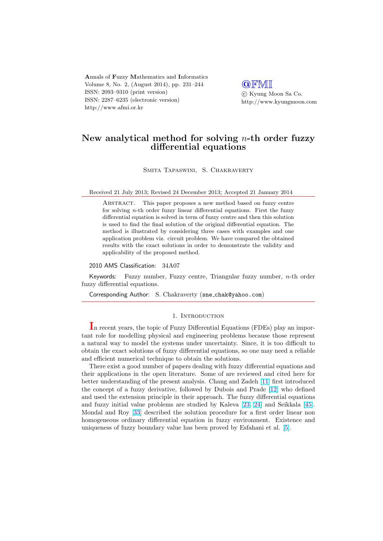Annals of Fuzzy Mathematics and Informatics Volume 8, No. 2, (August 2014), pp. 231–244 ISSN: 2093–9310 (print version) ISSN: 2287–6235 (electronic version) http://www.afmi.or.kr

**QFMI** °c Kyung Moon Sa Co. http://www.kyungmoon.com

# New analytical method for solving  $n$ -th order fuzzy differential equations

Smita Tapaswini, S. Chakraverty

Received 21 July 2013; Revised 24 December 2013; Accepted 21 January 2014

Abstract. This paper proposes a new method based on fuzzy centre for solving n-th order fuzzy linear differential equations. First the fuzzy differential equation is solved in term of fuzzy centre and then this solution is used to find the final solution of the original differential equation. The method is illustrated by considering three cases with examples and one application problem viz. circuit problem. We have compared the obtained results with the exact solutions in order to demonstrate the validity and applicability of the proposed method.

2010 AMS Classification: 34A07

Keywords: Fuzzy number, Fuzzy centre, Triangular fuzzy number,  $n$ -th order fuzzy differential equations.

Corresponding Author: S. Chakraverty (sne chak@yahoo.com)

### 1. INTRODUCTION

In recent years, the topic of Fuzzy Differential Equations (FDEs) play an important role for modelling physical and engineering problems because those represent a natural way to model the systems under uncertainty. Since, it is too difficult to obtain the exact solutions of fuzzy differential equations, so one may need a reliable and efficient numerical technique to obtain the solutions.

There exist a good number of papers dealing with fuzzy differential equations and their applications in the open literature. Some of are reviewed and cited here for better understanding of the present analysis. Chang and Zadeh [11] first introduced the concept of a fuzzy derivative, followed by Dubois and Prade [12] who defined and used the extension principle in their approach. The fuzzy differential equations and fuzzy initial value problems are studied by Kaleva [23, 24] and Seikkala [45]. Mondal and Roy [33] described the solution procedure for a fi[rst](#page-11-0) order linear non homogeneous ordinary differential equation in fuzzy environment[. E](#page-11-0)xistence and uniqueness of fuzzy boundary value has been proved by Esfahani et al. [5].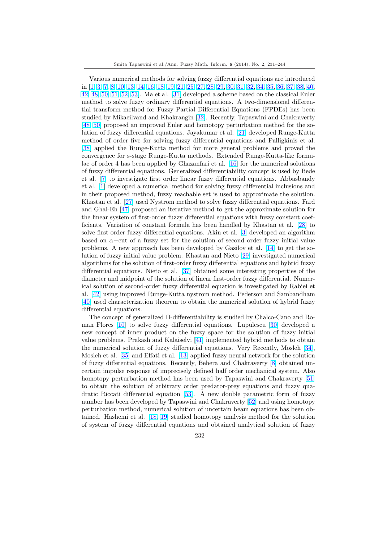Various numerical methods for solving fuzzy differential equations are introduced in [1, 3, 7, 8, 10, 13, 14, 16, 18, 19, 21, 25, 27, 28, 29, 30, 31, 32, 34, 35, 36, 37, 38, 40, 42, 48, 50, 51, 52, 53]. Ma et al. [31] developed a scheme based on the classical Euler method to solve fuzzy ordinary differential equations. A two-dimensional differential transform method for Fuzzy Partial Differential Equations (FPDEs) has been stu[died by Mikaeilvand and Khakrangin](#page-11-0) [\[32\]. Recently, Tapaswin](#page-12-0)i [and Chakraverty](#page-12-0) [\[48](#page-12-0), [50\] proposed](#page-12-0) [an](#page-13-0) improved E[uler](#page-12-0) and homotopy perturbation method for the solution of fuzzy differential equations. Jayakumar et al. [21] developed Runge-Kutta method of order five for solving fuzzy differential equations and Palligkinis et al. [38] applied the Runge-Kutta method f[or m](#page-12-0)ore general problems and proved the [converg](#page-12-0)ence for s-stage Runge-Kutta methods. Extended Runge-Kutta-like formulae of order 4 has been applied by Ghazanfari et al. [16[\] fo](#page-11-0)r the numerical solutions of fuzzy differential equations. Generalized differentiability concept is used by Bede [et a](#page-12-0)l. [7] to investigate first order linear fuzzy differential equations. Abbasbandy et al. [1] developed a numerical method for solving fuzzy differential inclusions and in their proposed method, fuzzy reachable set is use[d t](#page-11-0)o approximate the solution. Khastan et al. [27] used Nystrom method to solve fuzzy differential equations. Fard and G[ha](#page-11-0)l-Eh [47] proposed an iterative method to get the approximate solution for the lin[ea](#page-11-0)r system of first-order fuzzy differential equations with fuzzy constant coefficients. Variation of constant formula has been handled by Khastan et al. [28] to solve first orde[r fu](#page-12-0)zzy differential equations. Akin et al. [3] developed an algorithm based on  $\alpha$ –[cut](#page-12-0) of a fuzzy set for the solution of second order fuzzy initial value problems. A new approach has been developed by Gasilov et al. [14] to get the solution of fuzzy initial value problem. Khastan and Nieto [29] investigated nu[meri](#page-12-0)cal algorithms for the solution of first-order fuzzy differential [eq](#page-11-0)uations and hybrid fuzzy differential equations. Nieto et al. [37] obtained some interesting properties of the diameter and midpoint of the solution of linear first-order fuzzy di[ffere](#page-11-0)ntial. Numerical solution of second-order fuzzy differential equation i[s in](#page-12-0)vestigated by Rabiei et al. [42] using improved Runge-Kutta nystrom method. Pederson and Sambandham [40] used characterization theorem [to o](#page-12-0)btain the numerical solution of hybrid fuzzy differential equations.

The concept of generalized H-differentiability is studied by Chalco-Cano and Roma[n F](#page-12-0)lores [10] to solve fuzzy differential equations. Lupulescu [30] developed a [new](#page-12-0) concept of inner product on the fuzzy space for the solution of fuzzy initial value problems. Prakash and Kalaiselvi [41] implemented hybrid methods to obtain the numerical solution of fuzzy differential equations. Very Recently, Mosleh [34], Mosleh et al. [\[35](#page-11-0)] and Effati et al. [13] applied fuzzy neural networ[k fo](#page-12-0)r the solution of fuzzy differential equations. Recently, Behera and Chakraverty [8] obtained uncertain impulse response of imprecisely [defi](#page-12-0)ned half order mechanical system. Also homotopy perturbation method has been used by Tapaswini and Chakraverty [\[51](#page-12-0)] to obtain the [sol](#page-12-0)ution of arbitrar[y or](#page-11-0)der predator-prey equations and fuzzy quadratic Riccati differential equation [53]. A new double parametri[c](#page-11-0) form of fuzzy number has been developed by Tapaswini and Chakraverty [52] and using homotopy perturbation method, numerical solution of uncertain beam equations has been [ob](#page-12-0)tained. Hashemi et al. [18, 19] studied homotopy analysis method for the solution of system of fuzzy differential equa[tion](#page-13-0)s and obtained analytical solution of fuzzy

232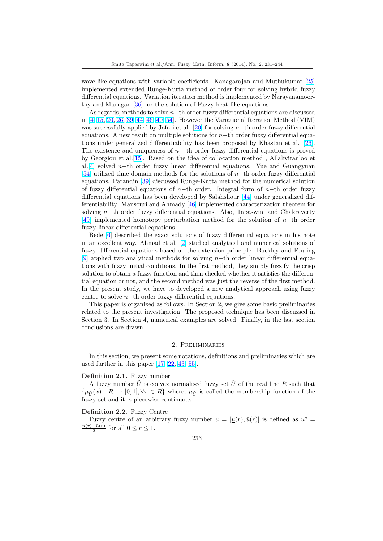wave-like equations with variable coefficients. Kanagarajan and Muthukumar [25] implemented extended Runge-Kutta method of order four for solving hybrid fuzzy differential equations. Variation iteration method is implemented by Narayanamoorthy and Murugan [36] for the solution of Fuzzy heat-like equations.

As regards, methods to solve  $n$ −th order fuzzy differential equations are discus[sed](#page-11-0) in [4, 15, 20, 26, 39, 44, 46, 49, 54]. However the Variational Iteration Method (VIM) was successfully applied by Jafari et al.  $[20]$  for solving n-th order fuzzy differential equations. A new [resu](#page-12-0)lt on multiple solutions for  $n$ −th order fuzzy differential equations under generalized differentiability has been proposed by Khastan et al. [26]. T[he](#page-11-0) [existen](#page-11-0)[ce and](#page-12-0) [uniqueness](#page-12-0) [of](#page-13-0)  $n-$  th order fuzzy differential equations is proved by Georgiou et al.[15]. Based on the id[ea](#page-11-0) of collocation method , Allahviranloo et al.[4] solved n–th order fuzzy linear differential equations. Yue and Guangyuan [54] utilized time domain methods for the solutions of n−th order fuzzy differe[ntia](#page-12-0)l equations. Parandin [39] discussed Runge-Kutta method for the numerical solution of fuzzy differenti[al e](#page-11-0)quations of n−th order. Integral form of n−th order fuzzy di[ffer](#page-11-0)ential equations has been developed by Salahshour [44] under generalized dif[fere](#page-13-0)ntiability. Mansouri and Ahmady [46] implemented characterization theorem for solving n−th order f[uzzy](#page-12-0) differential equations. Also, Tapaswini and Chakraverty [49] implemented homotopy perturbation method for the solution of n−th order fuzzy linear differential equations.

Bede [6] described the exact soluti[ons](#page-12-0) of fuzzy differential equations in his note in an excellent way. Ahmad et al. [2] studied analytical and numerical solutions of [fuzz](#page-12-0)y differential equations based on the extension principle. Buckley and Feuring [9] applied two analytical methods for solving n−th order linear differential equations wit[h](#page-11-0) fuzzy initial conditions. In the first method, they simply fuzzify the crisp solution to obtain a fuzzy function [and](#page-11-0) then checked whether it satisfies the differential equation or not, and the second method was just the reverse of the first method. [In](#page-11-0) the present study, we have to developed a new analytical approach using fuzzy centre to solve n−th order fuzzy differential equations.

This paper is organized as follows. In Section 2, we give some basic preliminaries related to the present investigation. The proposed technique has been discussed in Section 3. In Section 4, numerical examples are solved. Finally, in the last section conclusions are drawn.

### 2. Preliminaries

In this section, we present some notations, definitions and preliminaries which are used further in this paper [17, 22, 43, 55].

#### Definition 2.1. Fuzzy number

A fuzzy number  $\hat{U}$  is convex normalised fuzzy set  $\hat{U}$  of the real line R such that  $\{\mu_{\tilde{U}}(x): R \to [0,1], \forall x \in R\}$  where,  $\mu_{\tilde{U}}$  is called the membership function of the fuzzy set and it is piecewis[e conti](#page-11-0)[nuo](#page-12-0)[us.](#page-13-0)

#### Definition 2.2. Fuzzy Centre

Fuzzy centre of an arbitrary fuzzy number  $u = [\underline{u}(r), \overline{u}(r)]$  is defined as  $u^c =$  $u(r)+\bar{u}(r)$  $\frac{+u(r)}{2}$  for all  $0 \leq r \leq 1$ .

$$
233\,
$$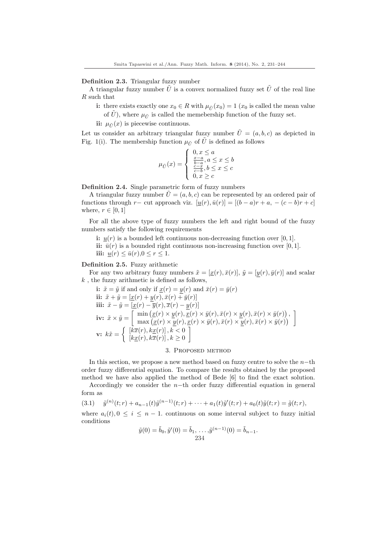# Definition 2.3. Triangular fuzzy number

A triangular fuzzy number  $\tilde{U}$  is a convex normalized fuzzy set  $\tilde{U}$  of the real line R such that

- i: there exists exactly one  $x_0 \in R$  with  $\mu_{\tilde{U}}(x_0) = 1$  ( $x_0$  is called the mean value of  $\hat{U}$ ), where  $\mu_{\tilde{U}}$  is called the memebership function of the fuzzy set.
- ii:  $\mu_{\tilde{U}}(x)$  is piecewise continuous.

Let us consider an arbitrary triangular fuzzy number  $\tilde{U} = (a, b, c)$  as depicted in Fig. 1(i). The membership function  $\mu_{\tilde{U}}$  of  $\tilde{U}$  is defined as follows

$$
\mu_{\tilde{U}}(x) = \begin{cases} 0, x \le a \\ \frac{x-a}{b-a}, a \le x \le b \\ \frac{c-x}{c-b}, b \le x \le c \\ 0, x \ge c \end{cases}
$$

Definition 2.4. Single parametric form of fuzzy numbers

A triangular fuzzy number  $\tilde{U} = (a, b, c)$  can be represented by an ordered pair of functions through r− cut approach viz.  $[u(r), \bar{u}(r)] = [(b-a)r + a, -(c-b)r + c]$ where,  $r \in [0, 1]$ 

For all the above type of fuzzy numbers the left and right bound of the fuzzy numbers satisfy the following requirements

i:  $u(r)$  is a bounded left continuous non-decreasing function over [0, 1].

ii:  $\bar{u}(r)$  is a bounded right continuous non-increasing function over [0, 1]. iii:  $u(r) \leq \bar{u}(r), 0 \leq r \leq 1$ .

## Definition 2.5. Fuzzy arithmetic

For any two arbitrary fuzzy numbers  $\tilde{x} = [\underline{x}(r), \overline{x}(r)], \tilde{y} = [y(r), \overline{y}(r)]$  and scalar  $k$ , the fuzzy arithmetic is defined as follows,

i: 
$$
\tilde{x} = \tilde{y}
$$
 if and only if  $\underline{x}(r) = \underline{y}(r)$  and  $\bar{x}(r) = \bar{y}(r)$   
\nii:  $\tilde{x} + \tilde{y} = [\underline{x}(r) + \underline{y}(r), \bar{x}(r) + \bar{y}(r)]$   
\niii:  $\tilde{x} - \tilde{y} = [\underline{x}(r) - \overline{y}(r), \overline{x}(r) - \underline{y}(r)]$   
\niv:  $\tilde{x} \times \tilde{y} = \begin{bmatrix} \min(\underline{x}(r) \times \underline{y}(r), \underline{x}(r) \times \bar{y}(r), \bar{x}(r) \times \underline{y}(r), \bar{x}(r) \times \bar{y}(r)) \\ \max(\underline{x}(r) \times \underline{y}(r), \underline{x}(r) \times \bar{y}(r), \bar{x}(r) \times \underline{y}(r), \bar{x}(r) \times \bar{y}(r)) \end{bmatrix}$   
\nvi:  $k\tilde{x} = \begin{cases} [k\overline{x}(r), k\underline{x}(r)], k < 0 \\ [k\underline{x}(r), k\overline{x}(r)], k \ge 0 \end{cases}$ 

# 3. Proposed method

In this section, we propose a new method based on fuzzy centre to solve the  $n$ -th order fuzzy differential equation. To compare the results obtained by the proposed method we have also applied the method of Bede [6] to find the exact solution.

Accordingly we consider the n−th order fuzzy differential equation in general form as

$$
(3.1) \quad \tilde{y}^{(n)}(t;r) + a_{n-1}(t)\tilde{y}^{(n-1)}(t;r) + \cdots + a_1(t)\tilde{y}'(t;r) + a_0(t)\tilde{y}(t;r) = \tilde{g}(t;r),
$$

where  $a_i(t)$ ,  $0 \le i \le n-1$ . continuous on some interval subject to fuzzy initial conditions

$$
\tilde{y}(0) = \tilde{b}_0, \tilde{y}'(0) = \tilde{b}_1, \dots, \tilde{y}^{(n-1)}(0) = \tilde{b}_{n-1}.
$$
  
234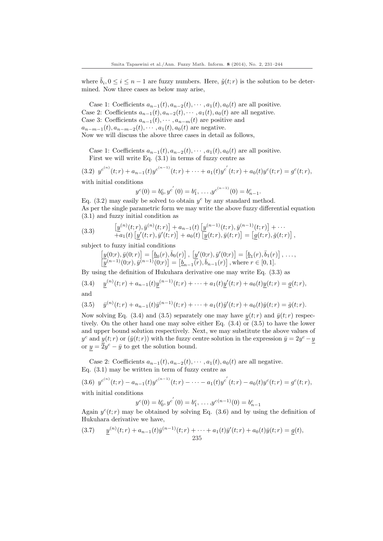where  $\tilde{b}_i, 0 \leq i \leq n-1$  are fuzzy numbers. Here,  $\tilde{y}(t; r)$  is the solution to be determined. Now three cases as below may arise,

Case 1: Coefficients  $a_{n-1}(t), a_{n-2}(t), \cdots, a_1(t), a_0(t)$  are all positive. Case 2: Coefficients  $a_{n-1}(t)$ ,  $a_{n-2}(t)$ ,  $\dots$ ,  $a_1(t)$ ,  $a_0(t)$  are all negative. Case 3: Coefficients  $a_{n-1}(t), \cdots, a_{n-m}(t)$  are positive and  $a_{n-m-1}(t), a_{n-m-2}(t), \cdots, a_1(t), a_0(t)$  are negative. Now we will discuss the above three cases in detail as follows,

Case 1: Coefficients  $a_{n-1}(t), a_{n-2}(t), \cdots, a_1(t), a_0(t)$  are all positive. First we will write Eq. (3.1) in terms of fuzzy centre as

$$
(3.2) \ y^{c^{(n)}}(t;r) + a_{n-1}(t)y^{c^{(n-1)}}(t;r) + \cdots + a_1(t)y^{c'}(t;r) + a_0(t)y^{c}(t;r) = g^{c}(t;r),
$$

with initial conditions

$$
y^{c}(0) = b_0^{c}, y^{c'}(0) = b_1^{c}, \ldots, y^{c^{(n-1)}}(0) = b_{n-1}^{c}.
$$

Eq.  $(3.2)$  may easily be solved to obtain  $y^c$  by any standard method. As per the single parametric form we may write the above fuzzy differential equation (3.1) and fuzzy initial condition as

(3.3) 
$$
\left[\underline{y}^{(n)}(t;r),\overline{y}^{(n)}(t;r)\right] + a_{n-1}(t) \left[\underline{y}^{(n-1)}(t;r),\overline{y}^{(n-1)}(t;r)\right] + \cdots + a_1(t) \left[y'(t;r),\overline{y}'(t;r)\right] + a_0(t) \left[y(t;r),\overline{y}(t;r)\right] = \left[g(t;r),\overline{g}(t;r)\right],
$$

subject to fuzzy initial conditions

$$
\begin{aligned}\n\left[\underline{y}(0;r), \bar{y}(0;r)\right] &= \left[\underline{b}_0(r), \bar{b}_0(r)\right], \\
\left[\underline{y}'(0;r)\right] &= \left[\underline{b}_1(r), \bar{b}_1(r)\right], \\
\cdots, \\
\left[\underline{y}^{(n-1)}(0;r), \bar{y}^{(n-1)}(0;r)\right] &= \left[\underline{b}_{n-1}(r), \bar{b}_{n-1}(r)\right], \text{where } r \in [0,1].\n\end{aligned}
$$

By using the definition of Hukuhara derivative one may write Eq. (3.3) as

(3.4) 
$$
\underline{y}^{(n)}(t;r) + a_{n-1}(t)\underline{y}^{(n-1)}(t;r) + \cdots + a_1(t)\underline{y}'(t;r) + a_0(t)\underline{y}(t;r) = \underline{g}(t;r),
$$
 and

$$
\mathbf{u}^{\mathrm{m}}
$$

(3.5) 
$$
\bar{y}^{(n)}(t;r) + a_{n-1}(t)\bar{y}^{(n-1)}(t;r) + \cdots + a_1(t)\bar{y}'(t;r) + a_0(t)\bar{y}(t;r) = \bar{g}(t;r).
$$

Now solving Eq. (3.4) and (3.5) separately one may have  $y(t; r)$  and  $\bar{y}(t; r)$  respectively. On the other hand one may solve either Eq.  $(3.4)$  or  $(3.5)$  to have the lower and upper bound solution respectively. Next, we may substitute the above values of  $y^c$  and  $y(t; r)$  or  $(\bar{y}(t; r))$  with the fuzzy centre solution in the expression  $\bar{y} = 2y^c - y$ or  $y = \overline{2}y^c - \overline{y}$  to get the solution bound.

Case 2: Coefficients  $a_{n-1}(t), a_{n-2}(t), \cdots, a_1(t), a_0(t)$  are all negative. Eq. (3.1) may be written in term of fuzzy centre as

(3.6) 
$$
y^{c^{(n)}}(t;r) - a_{n-1}(t)y^{c^{(n-1)}}(t;r) - \cdots - a_1(t)y^{c'}(t;r) - a_0(t)y^{c}(t;r) = g^{c}(t;r)
$$
, with initial conditions

 $y^{c}(0) = b_0^{c}, y^{c'}(0) = b_1^{c}, \ldots, y^{c(n-1)}(0) = b_{n-1}^{c}$ 

Again  $y^c(t; r)$  may be obtained by solving Eq. (3.6) and by using the definition of Hukuhara derivative we have,

(3.7) 
$$
\underline{y}^{(n)}(t;r) + a_{n-1}(t)\overline{y}^{(n-1)}(t;r) + \cdots + a_1(t)\overline{y}'(t;r) + a_0(t)\overline{y}(t;r) = \underline{g}(t),
$$
  
235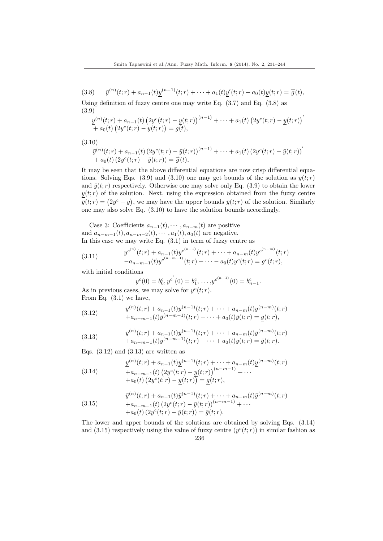$(3.8)$  $\mathcal{L}^{(n)}(t;r) + a_{n-1}(t)y^{(n-1)}(t;r) + \cdots + a_1(t)y'(t;r) + a_0(t)y(t;r) = \vec{g}(t),$ 

Using definition of fuzzy centre one may write Eq. (3.7) and Eq. (3.8) as (3.9) ¡ ¡

$$
\frac{y^{(n)}(t;r) + a_{n-1}(t) (2y^{c}(t;r) - y(t;r))^{(n-1)} + \cdots + a_1(t) (2y^{c}(t;r) - y(t;r))^{n}}{+ a_0(t) (2y^{c}(t;r) - y(t;r))} = \underline{g(t)},
$$

(3.10)

$$
\bar{y}^{(n)}(t;r) + a_{n-1}(t) (2y^{c}(t;r) - \bar{y}(t;r))^{(n-1)} + \cdots + a_{1}(t) (2y^{c}(t;r) - \bar{y}(t;r))^{n} + a_{0}(t) (2y^{c}(t;r) - \bar{y}(t;r)) = \bar{g}(t),
$$

It may be seen that the above differential equations are now crisp differential equations. Solving Eqs. (3.9) and (3.10) one may get bounds of the solution as  $y(t; r)$ and  $\bar{y}(t; r)$  respectively. Otherwise one may solve only Eq. (3.9) to obtain the lower  $\underline{y}(t; r)$  of the solution. Next, using the expression obtained from the fuzzy centre  $\overline{y}(t;r)$  of the solution. Next, using the expression obtained from the fuzzy centre  $\overline{y}(t;r) = (2y^c - y)$ , we may have the upper bounds  $\overline{y}(t;r)$  of the solution. Similarly one may also solve Eq.  $(3.10)$  to have the solution bounds accordingly.

Case 3: Coefficients  $a_{n-1}(t), \cdots, a_{n-m}(t)$  are positive and  $a_{n-m-1}(t), a_{n-m-2}(t), \cdots, a_1(t), a_0(t)$  are negative. In this case we may write Eq. (3.1) in term of fuzzy centre as

(3.11) 
$$
y^{c^{(n)}}(t;r) + a_{n-1}(t)y^{c^{(n-1)}}(t;r) + \cdots + a_{n-m}(t)y^{c^{(n-m)}}(t;r) -a_{n-m-1}(t)y^{c^{(n-m-1)}}(t;r) + \cdots - a_0(t)y^{c}(t;r) = g^{c}(t;r),
$$

with initial conditions

$$
y^{c}(0) = b_0^{c}, y^{c'}(0) = b_1^{c}, \dots, y^{c^{(n-1)}}(0) = b_{n-1}^{c}
$$

.

As in previous cases, we may solve for  $y^c(t; r)$ . From Eq. (3.1) we have,

(3.12) 
$$
\frac{y^{(n)}(t;r) + a_{n-1}(t)y^{(n-1)}(t;r) + \cdots + a_{n-m}(t)y^{(n-m)}(t;r)}{+a_{n-m-1}(t)\bar{y}^{(n-m-1)}(t;r) + \cdots + a_0(t)\bar{y}(t;r)} = g(t;r),
$$

(3.13) 
$$
\bar{y}^{(n)}(t;r) + a_{n-1}(t)\bar{y}^{(n-1)}(t;r) + \cdots + a_{n-m}(t)\bar{y}^{(n-m)}(t;r) \n+ a_{n-m-1}(t)\underline{y}^{(n-m-1)}(t;r) + \cdots + a_0(t)\underline{y}(t;r) = \bar{g}(t;r).
$$

Eqs.  $(3.12)$  and  $(3.13)$  are written as

(3.14) 
$$
\frac{y^{(n)}(t;r) + a_{n-1}(t)y^{(n-1)}(t;r) + \cdots + a_{n-m}(t)y^{(n-m)}(t;r)}{+a_{n-m-1}(t)\left(2y^{c}(t;r) - y(t;r)\right)^{(n-m-1)} + \cdots} + a_0(t)\left(2y^{c}(t;r) - y(t;r)\right) = g(t;r),
$$

(3.15) 
$$
\bar{y}^{(n)}(t;r) + a_{n-1}(t)\bar{y}^{(n-1)}(t;r) + \cdots + a_{n-m}(t)\bar{y}^{(n-m)}(t;r) \n+ a_{n-m-1}(t) (2y^{c}(t;r) - \bar{y}(t;r))^{(n-m-1)} + \cdots \n+ a_{0}(t) (2y^{c}(t;r) - \bar{y}(t;r)) = \bar{g}(t;r).
$$

The lower and upper bounds of the solutions are obtained by solving Eqs. (3.14) and (3.15) respectively using the value of fuzzy centre  $(y<sup>c</sup>(t;r))$  in similar fashion as 236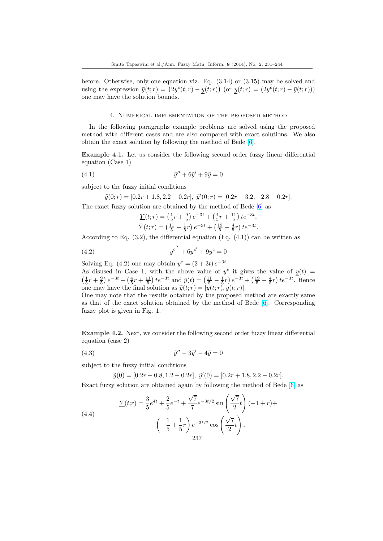before. Otherwise, only one equation viz. Eq.  $(3.14)$  or  $(3.15)$  may be solved and before. Otherwise, only one equation viz. Eq. (3.14) or (3.15) may be solved and<br>using the expression  $\bar{y}(t; r) = (2y^c(t; r) - y(t; r))$  (or  $y(t; r) = (2y^c(t; r) - \bar{y}(t; r)))$ one may have the solution bounds.

#### 4. Numerical implementation of the proposed method

In the following paragraphs example problems are solved using the proposed method with different cases and are also compared with exact solutions. We also obtain the exact solution by following the method of Bede [6].

Example 4.1. Let us consider the following second order fuzzy linear differential equation (Case 1)

$$
(4.1) \qquad \qquad \tilde{y}'' + 6\tilde{y}' + 9\tilde{y} = 0
$$

subject to the fuzzy initial conditions

$$
\tilde{y}(0;r) = [0.2r + 1.8, 2.2 - 0.2r], \ \tilde{y}'(0;r) = [0.2r - 3.2, -2.8 - 0.2r].
$$

The exact fuzzy solution are obtained by the method of Bede  $[6]$  as

$$
\underline{Y}(t;r) = \left(\frac{1}{5}r + \frac{9}{5}\right)e^{-3t} + \left(\frac{4}{5}r + \frac{11}{5}\right)te^{-3t},
$$
\n
$$
\overline{Y}(t;r) = \left(\frac{11}{5} - \frac{1}{5}r\right)e^{-3t} + \left(\frac{19}{5} - \frac{4}{5}r\right)te^{-3t}.
$$

Accordi[n](#page-11-0)g to Eq.  $(3.2)$ , the differential equation  $(Eq. (4.1))$  can be written as

(4.2) 
$$
y^{c''} + 6y^{c'} + 9y^c = 0
$$

Solving Eq. (4.2) one may obtain  $y^c = (2+3t) e^{-3t}$ As disused in Case 1, with the above value of  $y^c$  it gives the value of  $y(t) =$ s dististed in Case 1, with the above value of y it gives the value of  $\underline{y}(t) = \frac{1}{5}r + \frac{9}{5}\big)e^{-3t} + \left(\frac{4}{5}r + \frac{11}{5}\right)te^{-3t}$  and  $\bar{y}(t) = \left(\frac{11}{5} - \frac{1}{5}r\right)e^{-3t} + \left(\frac{19}{5} - \frac{4}{5}r\right)te^{-3t}$ . Hence one may have the final solution as  $\tilde{y}(t; r) = [y(t; r), \bar{y}(t; r)].$ 

One may note that the results obtained by the proposed method are exactly same as that of the exact solution obtained by the method of Bede [6]. Corresponding fuzzy plot is given in Fig. 1.

Example 4.2. Next, we consider the following second order fuzz[y](#page-11-0) linear differential equation (case 2)

$$
(4.3) \qquad \qquad \tilde{y}^{\prime\prime} - 3\tilde{y}^{\prime} - 4\tilde{y} = 0
$$

subject to the fuzzy initial conditions

$$
\tilde{y}(0) = [0.2r + 0.8, 1.2 - 0.2r], \ \tilde{y}'(0) = [0.2r + 1.8, 2.2 - 0.2r].
$$

Exact fuzzy solution are obtained again by following the method of Bede [6] as

(4.4)  
\n
$$
\underline{Y}(t;r) = \frac{3}{5}e^{4t} + \frac{2}{5}e^{-t} + \frac{\sqrt{7}}{7}e^{-3t/2}\sin\left(\frac{\sqrt{7}}{2}t\right)(-1+r) +
$$
\n
$$
\left(-\frac{1}{5} + \frac{1}{5}r\right)e^{-3t/2}\cos\left(\frac{\sqrt{7}}{2}t\right),
$$
\n237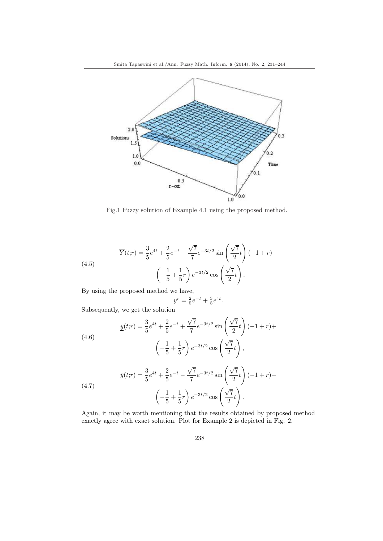

Fig.1 Fuzzy solution of Example 4.1 using the proposed method.

(4.5)  

$$
\overline{Y}(t;r) = \frac{3}{5}e^{4t} + \frac{2}{5}e^{-t} - \frac{\sqrt{7}}{7}e^{-3t/2}\sin\left(\frac{\sqrt{7}}{2}t\right)(-1+r) -
$$

$$
\left(-\frac{1}{5} + \frac{1}{5}r\right)e^{-3t/2}\cos\left(\frac{\sqrt{7}}{2}t\right).
$$

By using the proposed method we have,

$$
y^c = \frac{2}{5}e^{-t} + \frac{3}{5}e^{4t}.
$$

Subsequently, we get the solution

(4.6)  

$$
\underline{y}(t;r) = \frac{3}{5}e^{4t} + \frac{2}{5}e^{-t} + \frac{\sqrt{7}}{7}e^{-3t/2}\sin\left(\frac{\sqrt{7}}{2}t\right)(-1+r) +
$$

$$
\left(-\frac{1}{5} + \frac{1}{5}r\right)e^{-3t/2}\cos\left(\frac{\sqrt{7}}{2}t\right),
$$

(4.7) 
$$
\bar{y}(t;r) = \frac{3}{5}e^{4t} + \frac{2}{5}e^{-t} - \frac{\sqrt{7}}{7}e^{-3t/2}\sin\left(\frac{\sqrt{7}}{2}t\right)(-1+r) -
$$

$$
\left(-\frac{1}{5} + \frac{1}{5}r\right)e^{-3t/2}\cos\left(\frac{\sqrt{7}}{2}t\right).
$$

Again, it may be worth mentioning that the results obtained by proposed method exactly agree with exact solution. Plot for Example 2 is depicted in Fig. 2.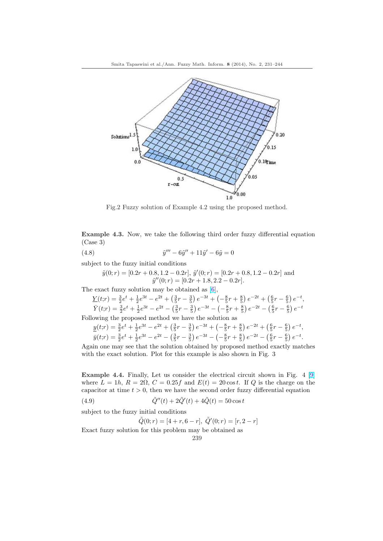

Fig.2 Fuzzy solution of Example 4.2 using the proposed method.

Example 4.3. Now, we take the following third order fuzzy differential equation (Case 3)

(4.8) 
$$
\tilde{y}''' - 6\tilde{y}'' + 11\tilde{y}' - 6\tilde{y} = 0
$$

subject to the fuzzy initial conditions

$$
\tilde{y}(0;r) = [0.2r + 0.8, 1.2 - 0.2r], \, \tilde{y}'(0;r) = [0.2r + 0.8, 1.2 - 0.2r]
$$
 and 
$$
\tilde{y}''(0;r) = [0.2r + 1.8, 2.2 - 0.2r].
$$

The exact fuzzy solution may be obtained as  $[6]$ ,

$$
\underline{Y}(t;r) = \frac{3}{2}e^{t} + \frac{1}{2}e^{3t} - e^{2t} + \left(\frac{3}{5}r - \frac{3}{5}\right)e^{-3t} + \left(-\frac{8}{5}r + \frac{8}{5}\right)e^{-2t} + \left(\frac{6}{5}r - \frac{6}{5}\right)e^{-t},
$$
\n
$$
\overline{Y}(t;r) = \frac{3}{2}e^{t} + \frac{1}{2}e^{3t} - e^{2t} - \left(\frac{3}{5}r - \frac{3}{5}\right)e^{-3t} - \left(-\frac{8}{5}r + \frac{8}{5}\right)e^{-2t} - \left(\frac{6}{5}r - \frac{6}{5}\right)e^{-t}
$$

Following the proposed method we have the s[olu](#page-11-0)tion as

$$
\underline{y}(t;r) = \frac{3}{2}e^{t} + \frac{1}{2}e^{3t} - e^{2t} + \left(\frac{3}{5}r - \frac{3}{5}\right)e^{-3t} + \left(-\frac{8}{5}r + \frac{8}{5}\right)e^{-2t} + \left(\frac{6}{5}r - \frac{6}{5}\right)e^{-t},
$$
\n
$$
\overline{y}(t;r) = \frac{3}{2}e^{t} + \frac{1}{2}e^{3t} - e^{2t} - \left(\frac{3}{5}r - \frac{3}{5}\right)e^{-3t} - \left(-\frac{8}{5}r + \frac{8}{5}\right)e^{-2t} - \left(\frac{6}{5}r - \frac{6}{5}\right)e^{-t}.
$$

Again one may see that the solution obtained by proposed method exactly matches with the exact solution. Plot for this example is also shown in Fig. 3

Example 4.4. Finally, Let us consider the electrical circuit shown in Fig. 4 [9] where  $L = 1h$ ,  $R = 2\Omega$ ,  $C = 0.25f$  and  $E(t) = 20\cos t$ . If Q is the charge on the capacitor at time  $t > 0$ , then we have the second order fuzzy differential equation

(4.9) 
$$
\tilde{Q}''(t) + 2\tilde{Q}'(t) + 4\tilde{Q}(t) = 50\cos t
$$

subject to the fuzzy initial conditions

$$
\tilde{Q}(0;r) = [4+r, 6-r], \ \tilde{Q}'(0;r) = [r, 2-r]
$$

Exact fuzzy solution for this problem may be obtained as

239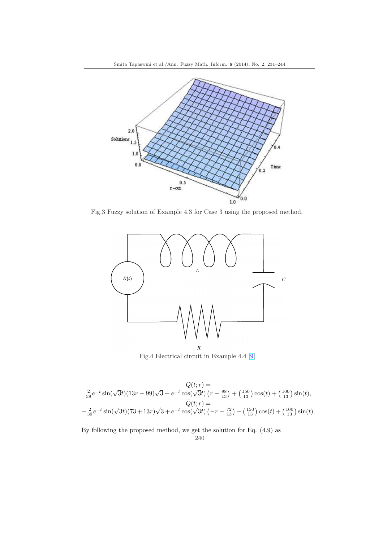

Fig.3 Fuzzy solution of Example 4.3 for Case 3 using the proposed method.



Fig.4 Electrical circuit in Example 4.4 [9]

$$
\frac{Q(t;r)}{39}e^{-t}\sin(\sqrt{3}t)(13r-99)\sqrt{3}+e^{-t}\cos(\sqrt{3}t)\left(r-\frac{98}{13}\right)+\left(\frac{150}{13}\right)\cos(t)+\left(\frac{100}{13}\right)\sin(t),
$$
  

$$
\bar{Q}(t;r)=
$$
  

$$
-\frac{2}{39}e^{-t}\sin(\sqrt{3}t)(73+13r)\sqrt{3}+e^{-t}\cos(\sqrt{3}t)\left(-r-\frac{72}{13}\right)+\left(\frac{150}{13}\right)\cos(t)+\left(\frac{100}{13}\right)\sin(t).
$$

By following the proposed method, we get the solution for Eq. (4.9) as

240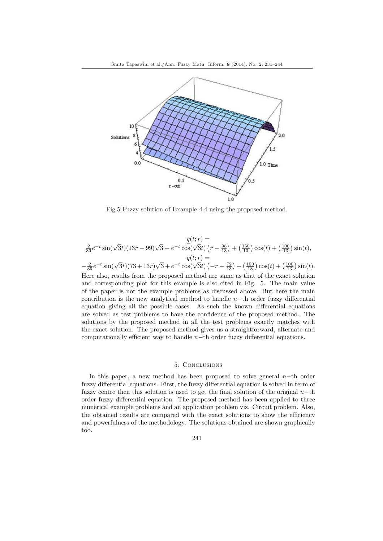

Fig.5 Fuzzy solution of Example 4.4 using the proposed method.

$$
\frac{q(t;r)}{39}e^{-t}\sin(\sqrt{3}t)(13r-99)\sqrt{3}+e^{-t}\cos(\sqrt{3}t)\left(r-\frac{98}{13}\right)+\left(\frac{150}{13}\right)\cos(t)+\left(\frac{100}{13}\right)\sin(t),
$$
  

$$
\bar{q}(t;r)=
$$

$$
-\frac{2}{39}e^{-t}\sin(\sqrt{3}t)(73+13r)\sqrt{3}+e^{-t}\cos(\sqrt{3}t)\left(-r-\frac{72}{13}\right)+\left(\frac{150}{13}\right)\cos(t)+\left(\frac{100}{13}\right)\sin(t).
$$

Here also, results from the proposed method are same as that of the exact solution and corresponding plot for this example is also cited in Fig. 5. The main value of the paper is not the example problems as discussed above. But here the main contribution is the new analytical method to handle  $n$ −th order fuzzy differential equation giving all the possible cases. As such the known differential equations are solved as test problems to have the confidence of the proposed method. The solutions by the proposed method in all the test problems exactly matches with the exact solution. The proposed method gives us a straightforward, alternate and computationally efficient way to handle  $n$ −th order fuzzy differential equations.

### 5. Conclusions

In this paper, a new method has been proposed to solve general n−th order fuzzy differential equations. First, the fuzzy differential equation is solved in term of fuzzy centre then this solution is used to get the final solution of the original  $n$ −th order fuzzy differential equation. The proposed method has been applied to three numerical example problems and an application problem viz. Circuit problem. Also, the obtained results are compared with the exact solutions to show the efficiency and powerfulness of the methodology. The solutions obtained are shown graphically too.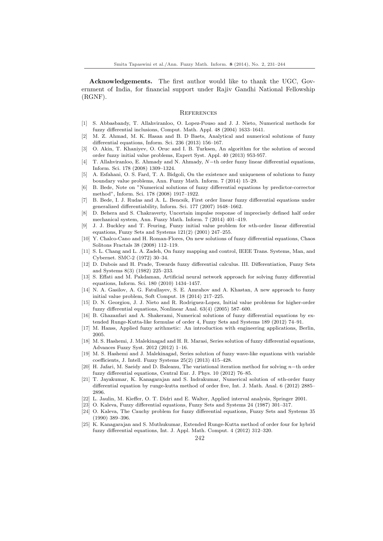<span id="page-11-0"></span>Acknowledgements. The first author would like to thank the UGC, Government of India, for financial support under Rajiv Gandhi National Fellowship (RGNF).

#### **REFERENCES**

- [1] S. Abbasbandy, T. Allahviranloo, O. Lopez-Pouso and J. J. Nieto, Numerical methods for fuzzy differential inclusions, Comput. Math. Appl. 48 (2004) 1633–1641.
- [2] M. Z. Ahmad, M. K. Hasan and B. D Baets, Analytical and numerical solutions of fuzzy differential equations, Inform. Sci. 236 (2013) 156–167.
- [3] O. Akin, T. Khaniyev, O. Oruc and I. B. Turksen, An algorithm for the solution of second order fuzzy initial value problems, Expert Syst. Appl. 40 (2013) 953-957.
- [4] T. Allahviranloo, E. Ahmady and N. Ahmady, N−th order fuzzy linear differential equations, Inform. Sci. 178 (2008) 1309–1324.
- [5] A. Esfahani, O. S. Fard, T. A. Bidgoli, On the existence and uniqueness of solutions to fuzzy boundary value problems, Ann. Fuzzy Math. Inform. 7 (2014) 15–29.
- [6] B. Bede, Note on "Numerical solutions of fuzzy differential equations by predictor-corrector method", Inform. Sci. 178 (2008) 1917–1922.
- [7] B. Bede, I. J. Rudas and A. L. Bencsik, First order linear fuzzy differential equations under generalized differentiability, Inform. Sci. 177 (2007) 1648–1662.
- [8] D. Behera and S. Chakraverty, Uncertain impulse response of imprecisely defined half order mechanical system, Ann. Fuzzy Math. Inform. 7 (2014) 401–419.
- [9] J. J. Buckley and T. Feuring, Fuzzy initial value problem for nth-order linear differential equations, Fuzzy Sets and Systems 121(2) (2001) 247–255.
- [10] Y. Chalco-Cano and H. Roman-Flores, On new solutions of fuzzy differential equations, Chaos Solitons Fractals 38 (2008) 112–119.
- [11] S. L. Chang and L. A. Zadeh, On fuzzy mapping and control, IEEE Trans. Systems, Man, and Cybernet. SMC-2 (1972) 30–34.
- [12] D. Dubois and H. Prade, Towards fuzzy differential calculus. III. Differentiation, Fuzzy Sets and Systems 8(3) (1982) 225–233.
- [13] S. Effati and M. Pakdaman, Artificial neural network approach for solving fuzzy differential equations, Inform. Sci. 180 (2010) 1434–1457.
- [14] N. A. Gasilov, A. G. Fatullayev, S. E. Amrahov and A. Khastan, A new approach to fuzzy initial value problem, Soft Comput. 18 (2014) 217–225.
- [15] D. N. Georgiou, J. J. Nieto and R. Rodriguez-Lopez, Initial value problems for higher-order fuzzy differential equations, Nonlinear Anal. 63(4) (2005) 587–600.
- [16] B. Ghazanfari and A. Shakerami, Numerical solutions of fuzzy differential equations by extended Runge-Kutta-like formulae of order 4, Fuzzy Sets and Systems 189 (2012) 74–91.
- [17] M. Hanss, Applied fuzzy arithmetic: An introduction with engineering applications, Berlin, 2005.
- [18] M. S. Hashemi, J. Malekinagad and H. R. Marasi, Series solution of fuzzy differential equations, Advances Fuzzy Syst. 2012 (2012) 1–16.
- [19] M. S. Hashemi and J. Malekinagad, Series solution of fuzzy wave-like equations with variable coefficients, J. Intell. Fuzzy Systems 25(2) (2013) 415–428.
- [20] H. Jafari, M. Saeidy and D. Baleanu, The variational iteration method for solving n−th order fuzzy differential equations, Central Eur. J. Phys. 10 (2012) 76–85.
- [21] T. Jayakumar, K. Kanagarajan and S. Indrakumar, Numerical solution of nth-order fuzzy differential equation by runge-kutta method of order five, Int. J. Math. Anal. 6 (2012) 2885– 2896.
- [22] L. Jaulin, M. Kieffer, O. T. Didri and E. Walter, Applied interval analysis, Springer 2001.
- [23] O. Kaleva, Fuzzy differential equations, Fuzzy Sets and Systems 24 (1987) 301–317.
- [24] O. Kaleva, The Cauchy problem for fuzzy differential equations, Fuzzy Sets and Systems 35 (1990) 389–396.
- [25] K. Kanagarajan and S. Muthukumar, Extended Runge-Kutta method of order four for hybrid fuzzy differential equations, Int. J. Appl. Math. Comput. 4 (2012) 312–320.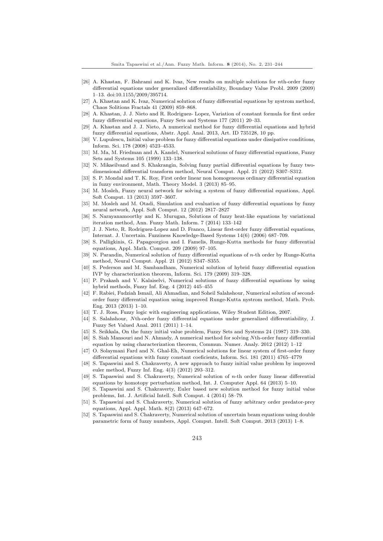- <span id="page-12-0"></span>[26] A. Khastan, F. Bahrami and K. Ivaz, New results on multiple solutions for nth-order fuzzy differential equations under generalized differentiability, Boundary Value Probl. 2009 (2009) 1–13. doi:10.1155/2009/395714.
- [27] A. Khastan and K. Ivaz, Numerical solution of fuzzy differential equations by nystrom method, Chaos Solitions Fractals 41 (2009) 859–868.
- [28] A. Khastan, J. J. Nieto and R. Rodriguez- Lopez, Variation of constant formula for first order fuzzy differential equations, Fuzzy Sets and Systems 177 (2011) 20–33.
- [29] A. Khastan and J. J. Nieto, A numerical method for fuzzy differential equations and hybrid fuzzy differential equations, Abstr. Appl. Anal. 2013, Art. ID 735128, 10 pp.
- [30] V. Lupulescu, Initial value problem for fuzzy differential equations under dissipative conditions, Inform. Sci. 178 (2008) 4523–4533.
- [31] M. Ma, M. Friedman and A. Kandel, Numerical solutions of fuzzy differential equations, Fuzzy Sets and Systems 105 (1999) 133–138.
- [32] N. Mikaeilvand and S. Khakrangin, Solving fuzzy partial differential equations by fuzzy twodimensional differential transform method, Neural Comput. Appl. 21 (2012) S307–S312.
- [33] S. P. Mondal and T. K. Roy, First order linear non homogeneous ordinary differential equation in fuzzy environment, Math. Theory Model. 3 (2013) 85–95.
- [34] M. Mosleh, Fuzzy neural network for solving a system of fuzzy differential equations, Appl. Soft Comput. 13 (2013) 3597–3607.
- [35] M. Mosleh and M. Otadi, Simulation and evaluation of fuzzy differential equations by fuzzy neural network, Appl. Soft Comput. 12 (2012) 2817–2827
- [36] S. Narayanamoorthy and K. Murugan, Solutions of fuzzy heat-like equations by variational iteration method, Ann. Fuzzy Math. Inform. 7 (2014) 133–142
- [37] J. J. Nieto, R. Rodriguez-Lopez and D. Franco, Linear first-order fuzzy differential equations, Internat. J. Uncertain. Fuzziness Knowledge-Based Systems 14(6) (2006) 687–709.
- [38] S. Palligkinis, G. Papageorgiou and I. Famelis, Runge-Kutta methods for fuzzy differential equations, Appl. Math. Comput. 209 (2009) 97–105.
- [39] N. Parandin, Numerical solution of fuzzy differential equations of n-th order by Runge-Kutta method, Neural Comput. Appl. 21 (2012) S347–S355.
- [40] S. Pederson and M. Sambandham, Numerical solution of hybrid fuzzy differential equation IVP by characterization theorem, Inform. Sci. 179 (2009) 319–328.
- [41] P. Prakash and V. Kalaiselvi, Numerical solutions of fuzzy differential equations by using hybrid methods, Fuzzy Inf. Eng. 4 (2012) 445–455
- [42] F. Rabiei, Fudziah Ismail, Ali Ahmadian, and Soheil Salahshour, Numerical solution of secondorder fuzzy differential equation using improved Runge-Kutta nystrom method, Math. Prob. Eng. 2013 (2013) 1–10.
- [43] T. J. Ross, Fuzzy logic with engineering applications, Wiley Student Edition, 2007.
- [44] S. Salahshour, Nth-order fuzzy differential equations under generalized differentiability, J. Fuzzy Set Valued Anal. 2011 (2011) 1–14.
- [45] S. Seikkala, On the fuzzy initial value problem, Fuzzy Sets and Systems 24 (1987) 319–330.
- [46] S. Siah Mansouri and N. Ahmady, A numerical method for solving Nth-order fuzzy differential equation by using characterization theorem, Commun. Numer. Analy. 2012 (2012) 1–12
- [47] O. Solaymani Fard and N. Ghal-Eh, Numerical solutions for linear system of first-order fuzzy differential equations with fuzzy constant coeficients, Inform. Sci. 181 (2011) 4765–4779
- [48] S. Tapaswini and S. Chakraverty, A new approach to fuzzy initial value problem by improved euler method, Fuzzy Inf. Eng. 4(3) (2012) 293–312.
- [49] S. Tapaswini and S. Chakraverty, Numerical solution of n-th order fuzzy linear differential equations by homotopy perturbation method, Int. J. Computer Appl. 64 (2013) 5–10.
- [50] S. Tapaswini and S. Chakraverty, Euler based new solution method for fuzzy initial value problems, Int. J. Artificial Intell. Soft Comput. 4 (2014) 58–79.
- [51] S. Tapaswini and S. Chakraverty, Numerical solution of fuzzy arbitrary order predator-prey equations, Appl. Appl. Math. 8(2) (2013) 647–672.
- [52] S. Tapaswini and S. Chakraverty, Numerical solution of uncertain beam equations using double parametric form of fuzzy numbers, Appl. Comput. Intell. Soft Comput. 2013 (2013) 1–8.